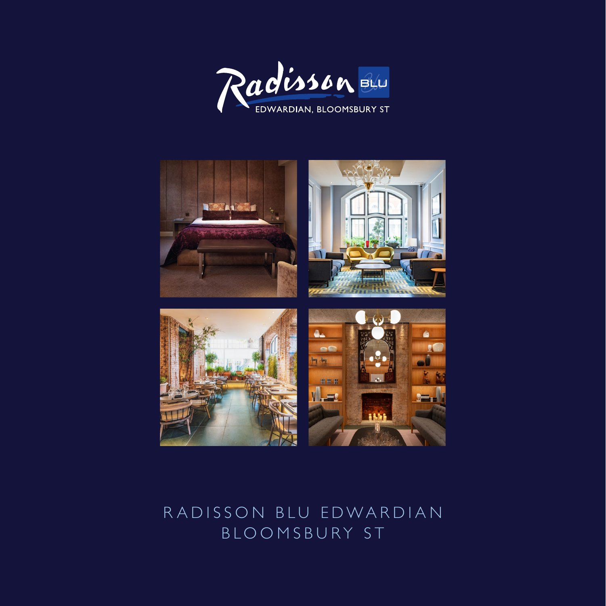



## RADISSON BLU EDWARDIAN BLOOMSBURY ST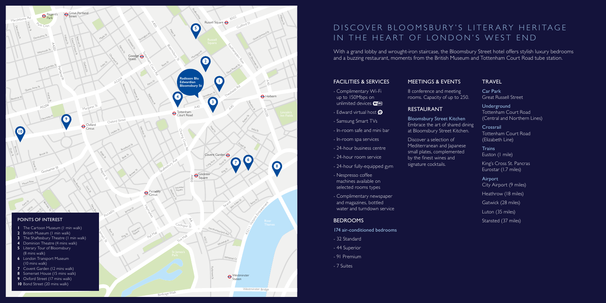### FACILITIES & SERVICES

- Complimentary Wi-Fi up to 150Mbps on unlimited devices **WIFI**
- Edward virtual host  $\Theta$
- Samsung Smart TVs
- In-room safe and mini bar
- In-room spa services
- 24-hour business centre
- 24-hour room service
- 24-hour fully-equipped gym
- Nespresso coffee machines available on selected rooms types
- Complimentary newspaper and magazines, bottled water and turndown service

#### **BEDROOMS**

- 174 air-conditioned bedrooms
- 32 Standard
- 44 Superior
- 91 Premium
- 7 Suites

#### MEETINGS & EVENTS

8 conference and meeting rooms. Capacity of up to 250.

# D IS COVER BLOOMS BURY'S LITER ARY HERITAGE IN THE HEART OF LONDON'S WEST END

## RESTAURANT

- Bloomsbury Street Kitchen Embrace the art of shared dining at Bloomsbury Street Kitchen.
- Discover a selection of Mediterranean and Japanese small plates, complemented by the finest wines and signature cocktails.

With a grand lobby and wrought-iron staircase, the Bloomsbury Street hotel offers stylish luxury bedrooms and a buzzing restaurant, moments from the British Museum and Tottenham Court Road tube station.

> **Trains** Euston (1 mile)



#### TRAVEL

Car Park Great Russell Street

Underground Tottenham Court Road (Central and Northern Lines)

Crossrail Tottenham Court Road (Elizabeth Line)

King's Cross St. Pancras Eurostar (1.7 miles)

Airport City Airport (9 miles)

Heathrow (18 miles)

Gatwick (28 miles)

Luton (35 miles)

Stansted (37 miles)